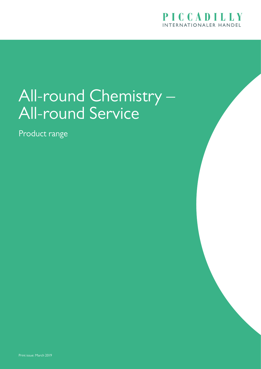

### All-round Chemistry – All-round Service

Product range

Print issue: March 2019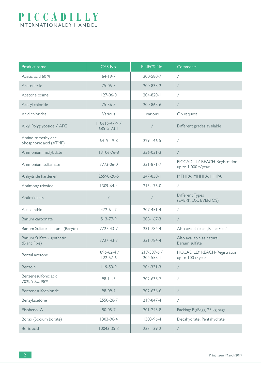| Product name                                 | CAS-No.                       | EINECS-No.                     | Comments                                            |  |
|----------------------------------------------|-------------------------------|--------------------------------|-----------------------------------------------------|--|
| Acetic acid 60 %                             | $64 - 19 - 7$                 | 200-580-7                      | $\sqrt{2}$                                          |  |
| Acetonitrile                                 | $75 - 05 - 8$                 | 200-835-2                      | $\sqrt{2}$                                          |  |
| Acetone oxime                                | $127 - 06 - 0$                | 204-820-1                      | $\sqrt{2}$                                          |  |
| Acetyl chloride                              | $75 - 36 - 5$                 | 200-865-6                      | $\sqrt{2}$                                          |  |
| Acid chlorides                               | Various                       | Various                        | On request                                          |  |
| Alkyl Polyglycoside / APG                    | 110615-47-9 /<br>68515-73-1   | /                              | Different grades available                          |  |
| Amino trimethylene<br>phosphonic acid (ATMP) | $6419 - 19-8$                 | $229 - 146 - 5$                | $\overline{1}$                                      |  |
| Ammonium molybdate                           | 13106-76-8                    | $236 - 031 - 3$                | $\sqrt{2}$                                          |  |
| Ammonium sulfamate                           | 7773-06-0                     | $231 - 871 - 7$                | PICCADILLY REACH-Registration<br>up to 1.000 t/year |  |
| Anhydride hardener                           | 26590-20-5                    | 247-830-1                      | MTHPA, MHHPA, HHPA                                  |  |
| Antimony trioxide                            | 1309-64-4                     | $215 - 175 - 0$                | $\sqrt{2}$                                          |  |
| Antioxidants                                 |                               |                                | <b>Different Types</b><br>(EVERNOX, EVERFOS)        |  |
| Astaxanthin                                  | $472 - 61 - 7$                | $207 - 451 - 4$                | $\sqrt{2}$                                          |  |
| Barium carbonate                             | $513 - 77 - 9$                | $208 - 167 - 3$                | $\sqrt{2}$                                          |  |
| Barium Sulfate - natural (Baryte)            | 7727-43-7                     | $231 - 784 - 4$                | Also available as "Blanc Fixe"                      |  |
| Barium Sulfate - synthetic<br>(Blanc Fixe)   | 7727-43-7                     | $231 - 784 - 4$                | Also available as natural<br>Barium sulfate         |  |
| Benzal acetone                               | 1896-62-4 /<br>$122 - 57 - 6$ | 217-587-6 /<br>$204 - 555 - 1$ | PICCADILLY REACH-Registration<br>up to 100 t/year   |  |
| Benzoin                                      | $119 - 53 - 9$                | $204 - 331 - 3$                | $\sqrt{2}$                                          |  |
| Benzenesulfonic acid<br>70%, 90%, 98%        | $98 - 11 - 3$                 | 202-638-7                      | $\sqrt{2}$                                          |  |
| Benzenesulfochloride                         | 98-09-9                       | 202-636-6                      | $\sqrt{2}$                                          |  |
| Benzylacetone                                | 2550-26-7                     | 219-847-4                      | $\overline{ }$                                      |  |
| Bisphenol-A                                  | $80 - 05 - 7$                 | $201 - 245 - 8$                | Packing: BigBags, 25 kg bags                        |  |
| Borax (Sodium borate)                        | 1303-96-4                     | 1303-96-4                      | Decahydrate, Pentahydrate                           |  |
| Boric acid                                   | $10043 - 35 - 3$              | $233 - 139 - 2$                | $\overline{ }$                                      |  |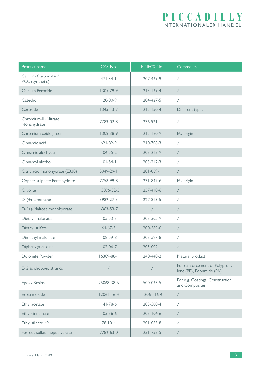### PICCADILLY INTERNATIONALER HANDEL

| Product name                           | CAS-No.          | EINECS-No.       | Comments                                                     |  |
|----------------------------------------|------------------|------------------|--------------------------------------------------------------|--|
| Calcium Carbonate /<br>PCC (synthetic) | $471 - 34 - 1$   | 207-439-9        | $\sqrt{2}$                                                   |  |
| Calcium Peroxide                       | 1305-79-9        | $215 - 139 - 4$  | $\sqrt{\phantom{a}}$                                         |  |
| Catechol                               | $120 - 80 - 9$   | 204-427-5        | $\sqrt{2}$                                                   |  |
| Ceroxide                               | $1345 - 13 - 7$  | $215 - 150 - 4$  | Different types                                              |  |
| Chromium-III-Nitrate<br>Nonahydrate    | 7789-02-8        | $236-921-1$      | Τ                                                            |  |
| Chromium oxide green                   | 1308-38-9        | $215 - 160 - 9$  | EU origin                                                    |  |
| Cinnamic acid                          | $621 - 82 - 9$   | $210 - 708 - 3$  | $\overline{\phantom{a}}$                                     |  |
| Cinnamic aldehyde                      | $104 - 55 - 2$   | $203 - 213 - 9$  | $\sqrt{2}$                                                   |  |
| Cinnamyl alcohol                       | $104 - 54 - 1$   | $203 - 212 - 3$  | $\overline{ }$                                               |  |
| Citric acid monohydrate (E330)         | 5949-29-1        | $201 - 069 - 1$  | $\overline{ }$                                               |  |
| Copper sulphate Pentahydrate           | 7758-99-8        | 231-847-6        | EU origin                                                    |  |
| Cryolite                               | 15096-52-3       | 237-410-6        | $\overline{1}$                                               |  |
| $D-(+)$ -Limonene                      | 5989-27-5        | $227 - 813 - 5$  | $\sqrt{2}$                                                   |  |
| D-(+)-Maltose monohydrate              | 6363-53-7        | $\sqrt{ }$       | $\overline{ }$                                               |  |
| Diethyl malonate                       | $105 - 53 - 3$   | 203-305-9        | $\overline{ }$                                               |  |
| Diethyl sulfate                        | $64 - 67 - 5$    | 200-589-6        | $\overline{1}$                                               |  |
| Dimethyl malonate                      | $108 - 59 - 8$   | 203-597-8        | $\overline{1}$                                               |  |
| Diphenylguanidine                      | $102 - 06 - 7$   | $203 - 002 - 1$  | $\overline{1}$                                               |  |
| Dolomite Powder                        | 16389-88-1       | 240-440-2        | Natural product                                              |  |
| E-Glas chopped strands                 |                  | $\overline{ }$   | For reinforcement of Polypropy-<br>lene (PP), Polyamide (PA) |  |
| <b>Epoxy Resins</b>                    | 25068-38-6       | 500-033-5        | For e.g. Coatings, Construction<br>and Composites            |  |
| Erbium oxide                           | $12061 - 16 - 4$ | $12061 - 16 - 4$ | $\sqrt{2}$                                                   |  |
| Ethyl acetate                          | $141 - 78 - 6$   | 205-500-4        | $\sqrt{2}$                                                   |  |
| Ethyl cinnamate                        | $103 - 36 - 6$   | $203 - 104 - 6$  | $\sqrt{2}$                                                   |  |
| Ethyl silicate-40                      | $78 - 10 - 4$    | 201-083-8        | $\sqrt{2}$                                                   |  |
| Ferrous sulfate heptahydrate           | 7782-63-0        | $231 - 753 - 5$  |                                                              |  |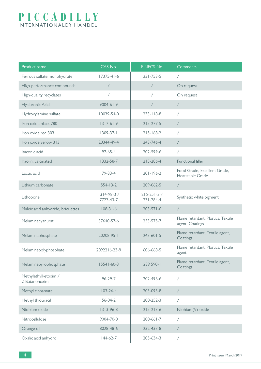| Product name                          | CAS-No.                  | EINECS-No.                     | Comments                                              |  |
|---------------------------------------|--------------------------|--------------------------------|-------------------------------------------------------|--|
| Ferrous sulfate monohydrate           | $17375 - 41 - 6$         | $231 - 753 - 5$                | $\sqrt{2}$                                            |  |
| High-performance compounds            | $\sqrt{2}$               | $\sqrt{2}$                     | On request                                            |  |
| High-quality recyclates               | $\sqrt{2}$               | $\sqrt{2}$                     | On request                                            |  |
| Hyaluronic Acid                       | $9004 - 61 - 9$          | Τ                              | $\overline{\phantom{a}}$                              |  |
| Hydroxylamine sulfate                 | 10039-54-0               | $233 - 118 - 8$                | $\sqrt{2}$                                            |  |
| Iron oxide black 780                  | $1317 - 61 - 9$          | $215 - 277 - 5$                | $\sqrt{\phantom{a}}$                                  |  |
| Iron oxide red 303                    | $1309 - 37 - 1$          | $215 - 168 - 2$                | $\sqrt{2}$                                            |  |
| Iron oxide yellow 313                 | 20344-49-4               | 243-746-4                      | $\sqrt{2}$                                            |  |
| Itaconic acid                         | $97 - 65 - 4$            | 202-599-6                      | $\sqrt{2}$                                            |  |
| Kaolin, calcinated                    | 1332-58-7                | $215 - 286 - 4$                | Functional filler                                     |  |
| Lactic acid                           | $79 - 33 - 4$            | $201 - 196 - 2$                | Food Grade, Excellent Grade,<br>Heatstable Grade      |  |
| Lithium carbonate                     | $554 - 13 - 2$           | 209-062-5                      | $\sqrt{2}$                                            |  |
| Lithopone                             | 1314-98-3 /<br>7727-43-7 | $215 - 251 - 3 /$<br>231-784-4 | Synthetic white pigment                               |  |
| Maleic acid anhydride, briquettes     | $108 - 31 - 6$           | $203 - 571 - 6$                | $\sqrt{2}$                                            |  |
| Melaminecyanurat                      | 37640-57-6               | 253-575-7                      | Flame retardant, Plastics, Textile<br>agent, Coatings |  |
| Melaminephosphate                     | 20208-95-1               | $243 - 601 - 5$                | Flame retardant, Textile agent,<br>Coatings           |  |
| Melaminepolyphosphate                 | 2092216-23-9             | 606-668-5                      | Flame retardant, Plastics, Textile<br>agent           |  |
| Melaminepyrophosphate                 | $15541 - 60-3$           | 239 590-1                      | Flame retardant, Textile agent,<br>Coatings           |  |
| Methylethylketoxim /<br>2-Butanonoxim | $96 - 29 - 7$            | 202-496-6                      | $\bigg)$                                              |  |
| Methyl cinnamate                      | $103 - 26 - 4$           | 203-093-8                      | $\sqrt{\phantom{a}}$                                  |  |
| Methyl thiouracil                     | $56 - 04 - 2$            | 200-252-3                      | $\sqrt{2}$                                            |  |
| Niobium oxide                         | 1313-96-8                | $215 - 213 - 6$                | Niobium(V)-oxide                                      |  |
| Nitrocellulose                        | 9004-70-0                | $200 - 661 - 7$                | $\sqrt{2}$                                            |  |
| Orange oil                            | 8028-48-6                | 232-433-8                      | $\overline{ }$                                        |  |
| Oxalic acid anhydro                   | $144-62-7$               | 205-634-3                      | $\sqrt{2}$                                            |  |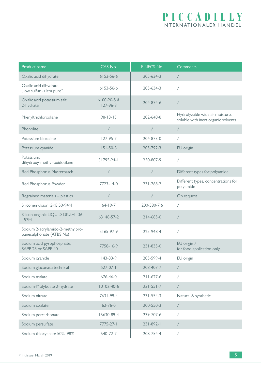| Product name                                                 | CAS-No.                       | EINECS-No.               | Comments                                                               |  |
|--------------------------------------------------------------|-------------------------------|--------------------------|------------------------------------------------------------------------|--|
| Oxalic acid dihydrate                                        | 6153-56-6                     | 205-634-3                | $\sqrt{2}$                                                             |  |
| Oxalic acid dihydrate<br>"low sulfur - ultra pure"           | 6153-56-6                     | 205-634-3                | $\sqrt{2}$                                                             |  |
| Oxalic acid potassium salt<br>2-hydrate                      | 6100-20-5 &<br>$127 - 96 - 8$ | 204-874-6                |                                                                        |  |
| Phenyltrichlorosliane                                        | $98 - 13 - 15$                | 202-640-8                | Hydrolyzable with air moisture,<br>soluble with inert organic solvents |  |
| Phonolite                                                    | $\sqrt{2}$                    | $\sqrt{2}$               | $\sqrt{2}$                                                             |  |
| Potassium bioxalate                                          | $127 - 95 - 7$                | 204-873-0                | $\sqrt{2}$                                                             |  |
| Potassium cyanide                                            | $151 - 50 - 8$                | 205-792-3                | EU origin                                                              |  |
| Potassium;<br>dihydroxy-methyl-oxidosilane                   | 31795-24-1                    | 250-807-9                | Γ                                                                      |  |
| Red Phosphorus Masterbatch                                   |                               | $\overline{\phantom{a}}$ | Different types for polyamide                                          |  |
| Red Phosphorus Powder                                        | $7723 - 14 - 0$               | $231 - 768 - 7$          | Different types, concentrations for<br>polyamide                       |  |
| Regrained materials - plastics                               | $\sqrt{2}$                    | $\sqrt{ }$               | On request                                                             |  |
| Siliconemulsion GKE 50-94M                                   | $64 - 19 - 7$                 | 200-580-76               | $\sqrt{2}$                                                             |  |
| Silicon organic LIQUID GKZH 136-<br><b>I57M</b>              | 63148-57-2                    | $214 - 685 - 0$          | $\sqrt{2}$                                                             |  |
| Sodium 2-acrylamido-2-methylpro-<br>panesulphonate (ATBS Na) | 5165-97-9                     | 225-948-4                | $\sqrt{2}$                                                             |  |
| Sodium acid pyrophosphate,<br>SAPP 28 or SAPP 40             | 7758-16-9                     | $231 - 835 - 0$          | EU origin /<br>for food application only                               |  |
| Sodium cyanide                                               | 143-33-9                      | 205-599-4                | EU origin                                                              |  |
| Sodium gluconate technical                                   | $527-07-1$                    | 208-407-7                | $\sqrt{2}$                                                             |  |
| Sodium malate                                                | 676-46-0                      | $211 - 627 - 6$          | $\sqrt{2}$                                                             |  |
| Sodium-Molybdate 2-hydrate                                   | $10102 - 40 - 6$              | $231 - 551 - 7$          | $\sqrt{2}$                                                             |  |
| Sodium nitrate                                               | 7631-99-4                     | $231 - 554 - 3$          | Natural & synthetic                                                    |  |
| Sodium oxalate                                               | $62 - 76 - 0$                 | 200-550-3                | $\sqrt{2}$                                                             |  |
| Sodium percarbonate                                          | 15630-89-4                    | 239-707-6                | Γ                                                                      |  |
| Sodium persulfate                                            | $7775 - 27 - 1$               | $231 - 892 - 1$          | Γ                                                                      |  |
| Sodium thiocyanate 50%, 98%                                  | 540-72-7                      | 208-754-4                |                                                                        |  |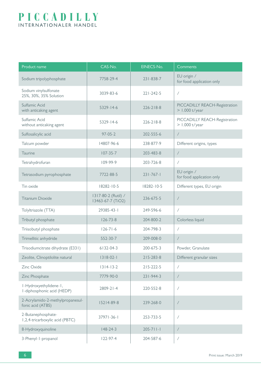| Product name                                          | CAS-No.                                  | EINECS-No.      | Comments                                          |  |
|-------------------------------------------------------|------------------------------------------|-----------------|---------------------------------------------------|--|
| Sodium tripolyphosphate                               | 7758-29-4                                | 231-838-7       | EU origin /<br>for food application only          |  |
| Sodium vinylsulfonate<br>25%, 30%, 35% Solution       | 3039-83-6                                | $221 - 242 - 5$ | $\sqrt{2}$                                        |  |
| Sulfamic Acid<br>with anticaking agent                | $5329 - 14 - 6$                          | $226 - 218 - 8$ | PICCADILLY REACH-Registration<br>$> 1.000$ t/year |  |
| Sulfamic Acid<br>without anticaking agent             | $5329 - 14 - 6$                          | $226 - 218 - 8$ | PICCADILLY REACH-Registration<br>$> 1.000$ t/year |  |
| Sulfosalicylic acid                                   | $97 - 05 - 2$                            | 202-555-6       | $\overline{ }$                                    |  |
| Talcum powder                                         | 14807-96-6                               | 238-877-9       | Different origins, types                          |  |
| <b>Taurine</b>                                        | $107 - 35 - 7$                           | 203-483-8       | $\sqrt{2}$                                        |  |
| Tetrahydrofuran                                       | $109 - 99 - 9$                           | 203-726-8       | $\sqrt{2}$                                        |  |
| Tetrasodium pyrophosphate                             | 7722-88-5                                | $231 - 767 - 1$ | EU origin /<br>for food application only          |  |
| Tin oxide                                             | 18282-10-5                               | 18282-10-5      | Different types, EU origin                        |  |
| <b>Titanium Dioxide</b>                               | 1317-80-2 (Rutil) /<br>13463-67-7 (TiO2) | 236-675-5       | $\overline{ }$                                    |  |
| Tolyltriazole (TTA)                                   | 29385-43-1                               | 249-596-6       | $\sqrt{2}$                                        |  |
| Tributyl phosphate                                    | $126 - 73 - 8$                           | 204-800-2       | Colorless liquid                                  |  |
| Triisobutyl phosphate                                 | $126 - 71 - 6$                           | 204-798-3       | $\sqrt{2}$                                        |  |
| Trimellitic anhydride                                 | 552-30-7                                 | 209-008-0       | $\overline{1}$                                    |  |
| Trisodiumcitrate dihydrate (E331)                     | 6132-04-3                                | 200-675-3       | Powder, Granulate                                 |  |
| Zeolite, Clinoptilolite natural                       | $1318-02-1$                              | $215 - 283 - 8$ | Different granular sizes                          |  |
| Zinc Oxide                                            | $1314 - 13 - 2$                          | $215 - 222 - 5$ | $\sqrt{2}$                                        |  |
| Zinc Phosphate                                        | 7779-90-0                                | $231 - 944 - 3$ | $\sqrt{2}$                                        |  |
| I-Hydroxyethylidene-1,<br>I-diphosphonic acid (HEDP)  | $2809 - 21 - 4$                          | 220-552-8       | $\sqrt{2}$                                        |  |
| 2-Acrylamido-2-methylpropanesul-<br>fonic acid (ATBS) | 15214-89-8                               | 239-268-0       | $\overline{ }$                                    |  |
| 2-Butanephosphate-<br>1,2,4-tricarboxylic acid (PBTC) | 37971-36-1                               | 253-733-5       | $\sqrt{2}$                                        |  |
| 8-Hydroxyquinoline                                    | $148 - 24 - 3$                           | $205 - 711 - 1$ | $\overline{ }$                                    |  |
| 3-Phenyl-1-propanol                                   | $122 - 97 - 4$                           | 204-587-6       | $\!\! /$                                          |  |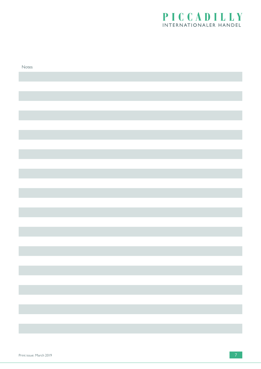

| Notes |  |
|-------|--|
|       |  |
|       |  |
|       |  |
|       |  |
|       |  |
|       |  |
|       |  |
|       |  |
|       |  |
|       |  |
|       |  |
|       |  |
|       |  |
|       |  |
|       |  |
|       |  |
|       |  |
|       |  |
|       |  |
|       |  |
|       |  |
|       |  |
|       |  |
|       |  |
|       |  |
|       |  |
|       |  |